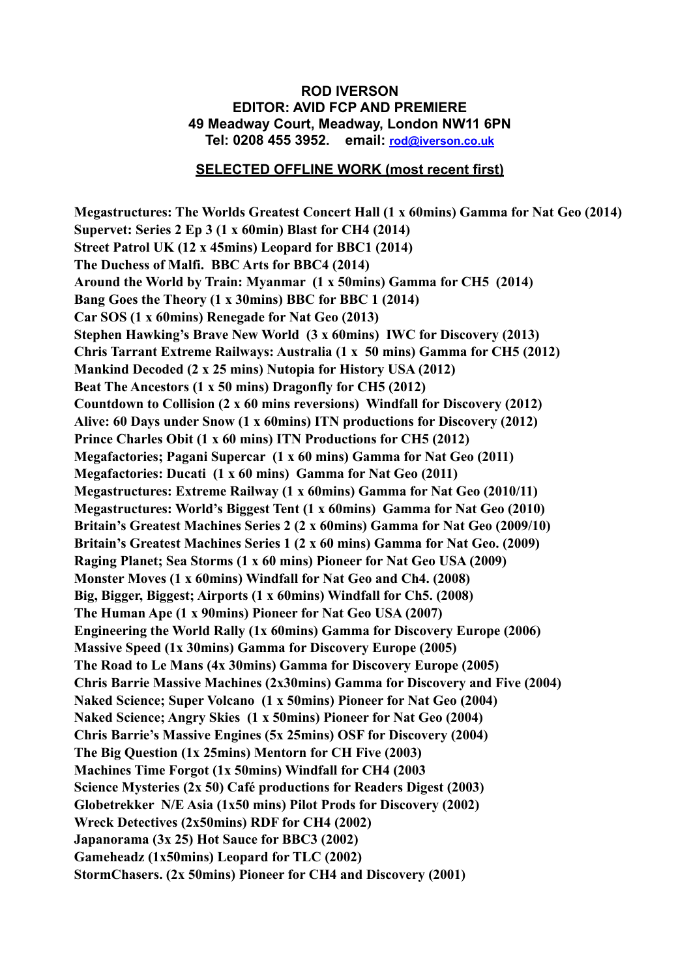## **ROD IVERSON EDITOR: AVID FCP AND PREMIERE 49 Meadway Court, Meadway, London NW11 6PN Tel: 0208 455 3952. email: [rod@iverson.co.uk](mailto:rod@iverson.co.uk)**

## **SELECTED OFFLINE WORK (most recent first)**

**Megastructures: The Worlds Greatest Concert Hall (1 x 60mins) Gamma for Nat Geo (2014) Supervet: Series 2 Ep 3 (1 x 60min) Blast for CH4 (2014) Street Patrol UK (12 x 45mins) Leopard for BBC1 (2014) The Duchess of Malfi. BBC Arts for BBC4 (2014) Around the World by Train: Myanmar (1 x 50mins) Gamma for CH5 (2014) Bang Goes the Theory (1 x 30mins) BBC for BBC 1 (2014) Car SOS (1 x 60mins) Renegade for Nat Geo (2013) Stephen Hawking's Brave New World (3 x 60mins) IWC for Discovery (2013) Chris Tarrant Extreme Railways: Australia (1 x 50 mins) Gamma for CH5 (2012) Mankind Decoded (2 x 25 mins) Nutopia for History USA (2012) Beat The Ancestors (1 x 50 mins) Dragonfly for CH5 (2012) Countdown to Collision (2 x 60 mins reversions) Windfall for Discovery (2012) Alive: 60 Days under Snow (1 x 60mins) ITN productions for Discovery (2012) Prince Charles Obit (1 x 60 mins) ITN Productions for CH5 (2012) Megafactories; Pagani Supercar (1 x 60 mins) Gamma for Nat Geo (2011) Megafactories: Ducati (1 x 60 mins) Gamma for Nat Geo (2011) Megastructures: Extreme Railway (1 x 60mins) Gamma for Nat Geo (2010/11) Megastructures: World's Biggest Tent (1 x 60mins) Gamma for Nat Geo (2010) Britain's Greatest Machines Series 2 (2 x 60mins) Gamma for Nat Geo (2009/10) Britain's Greatest Machines Series 1 (2 x 60 mins) Gamma for Nat Geo. (2009) Raging Planet; Sea Storms (1 x 60 mins) Pioneer for Nat Geo USA (2009) Monster Moves (1 x 60mins) Windfall for Nat Geo and Ch4. (2008) Big, Bigger, Biggest; Airports (1 x 60mins) Windfall for Ch5. (2008) The Human Ape (1 x 90mins) Pioneer for Nat Geo USA (2007) Engineering the World Rally (1x 60mins) Gamma for Discovery Europe (2006) Massive Speed (1x 30mins) Gamma for Discovery Europe (2005) The Road to Le Mans (4x 30mins) Gamma for Discovery Europe (2005) Chris Barrie Massive Machines (2x30mins) Gamma for Discovery and Five (2004) Naked Science; Super Volcano (1 x 50mins) Pioneer for Nat Geo (2004) Naked Science; Angry Skies (1 x 50mins) Pioneer for Nat Geo (2004) Chris Barrie's Massive Engines (5x 25mins) OSF for Discovery (2004) The Big Question (1x 25mins) Mentorn for CH Five (2003) Machines Time Forgot (1x 50mins) Windfall for CH4 (2003 Science Mysteries (2x 50) Café productions for Readers Digest (2003) Globetrekker N/E Asia (1x50 mins) Pilot Prods for Discovery (2002) Wreck Detectives (2x50mins) RDF for CH4 (2002) Japanorama (3x 25) Hot Sauce for BBC3 (2002) Gameheadz (1x50mins) Leopard for TLC (2002) StormChasers. (2x 50mins) Pioneer for CH4 and Discovery (2001)**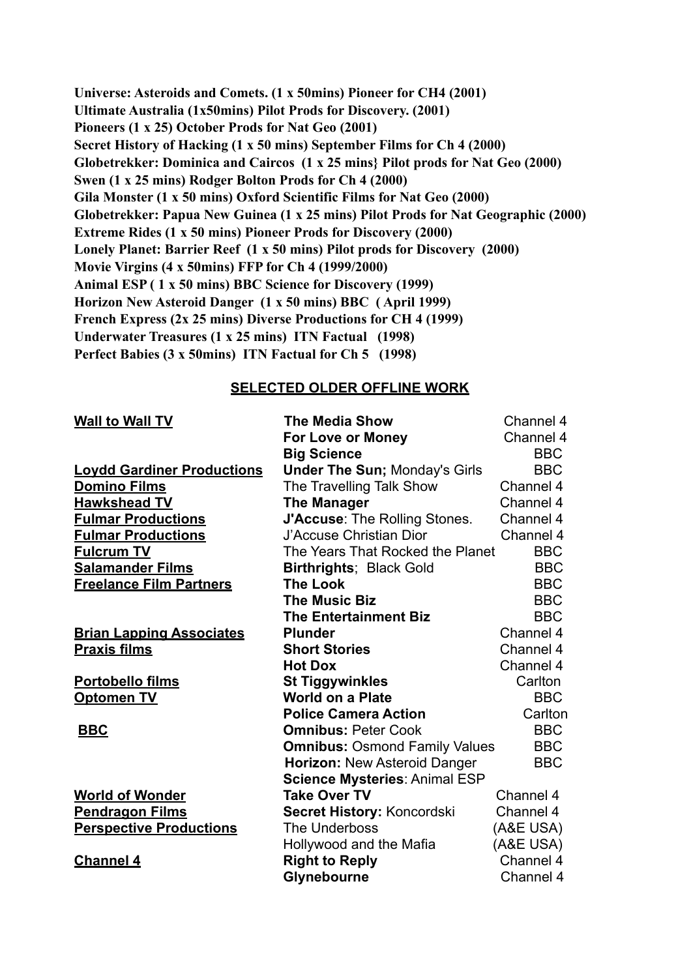**Universe: Asteroids and Comets. (1 x 50mins) Pioneer for CH4 (2001) Ultimate Australia (1x50mins) Pilot Prods for Discovery. (2001) Pioneers (1 x 25) October Prods for Nat Geo (2001) Secret History of Hacking (1 x 50 mins) September Films for Ch 4 (2000) Globetrekker: Dominica and Caircos (1 x 25 mins} Pilot prods for Nat Geo (2000) Swen (1 x 25 mins) Rodger Bolton Prods for Ch 4 (2000) Gila Monster (1 x 50 mins) Oxford Scientific Films for Nat Geo (2000) Globetrekker: Papua New Guinea (1 x 25 mins) Pilot Prods for Nat Geographic (2000) Extreme Rides (1 x 50 mins) Pioneer Prods for Discovery (2000) Lonely Planet: Barrier Reef (1 x 50 mins) Pilot prods for Discovery (2000) Movie Virgins (4 x 50mins) FFP for Ch 4 (1999/2000) Animal ESP ( 1 x 50 mins) BBC Science for Discovery (1999) Horizon New Asteroid Danger (1 x 50 mins) BBC ( April 1999) French Express (2x 25 mins) Diverse Productions for CH 4 (1999) Underwater Treasures (1 x 25 mins) ITN Factual (1998) Perfect Babies (3 x 50mins) ITN Factual for Ch 5 (1998)**

## **SELECTED OLDER OFFLINE WORK**

**For Love or Money** Channel 4

## **Wall to Wall TV The Media Show** Channel 4

|                                   | <b>Big Science</b>                   | <b>BBC</b> |
|-----------------------------------|--------------------------------------|------------|
| <b>Loydd Gardiner Productions</b> | <b>Under The Sun; Monday's Girls</b> | <b>BBC</b> |
| <b>Domino Films</b>               | The Travelling Talk Show             | Channel 4  |
| <b>Hawkshead TV</b>               | <b>The Manager</b>                   | Channel 4  |
| <b>Fulmar Productions</b>         | <b>J'Accuse: The Rolling Stones.</b> | Channel 4  |
| <b>Fulmar Productions</b>         | J'Accuse Christian Dior              | Channel 4  |
| <b>Fulcrum TV</b>                 | The Years That Rocked the Planet     | <b>BBC</b> |
| <b>Salamander Films</b>           | <b>Birthrights</b> ; Black Gold      | <b>BBC</b> |
| <b>Freelance Film Partners</b>    | <b>The Look</b>                      | <b>BBC</b> |
|                                   | <b>The Music Biz</b>                 | <b>BBC</b> |
|                                   | <b>The Entertainment Biz</b>         | <b>BBC</b> |
| <b>Brian Lapping Associates</b>   | <b>Plunder</b>                       | Channel 4  |
| <b>Praxis films</b>               | <b>Short Stories</b>                 | Channel 4  |
|                                   | <b>Hot Dox</b>                       | Channel 4  |
| Portobello films                  | <b>St Tiggywinkles</b>               | Carlton    |
| <b>Optomen TV</b>                 | <b>World on a Plate</b>              | <b>BBC</b> |
|                                   | <b>Police Camera Action</b>          | Carlton    |
| <b>BBC</b>                        | <b>Omnibus: Peter Cook</b>           | <b>BBC</b> |
|                                   | <b>Omnibus: Osmond Family Values</b> | <b>BBC</b> |
|                                   | Horizon: New Asteroid Danger         | <b>BBC</b> |
|                                   | <b>Science Mysteries: Animal ESP</b> |            |
| <b>World of Wonder</b>            | <b>Take Over TV</b>                  | Channel 4  |
| <b>Pendragon Films</b>            | Secret History: Koncordski           | Channel 4  |
| <b>Perspective Productions</b>    | The Underboss                        | (A&E USA)  |
|                                   | Hollywood and the Mafia              | (A&E USA)  |
| <b>Channel 4</b>                  | <b>Right to Reply</b>                | Channel 4  |
|                                   | Glynebourne                          | Channel 4  |